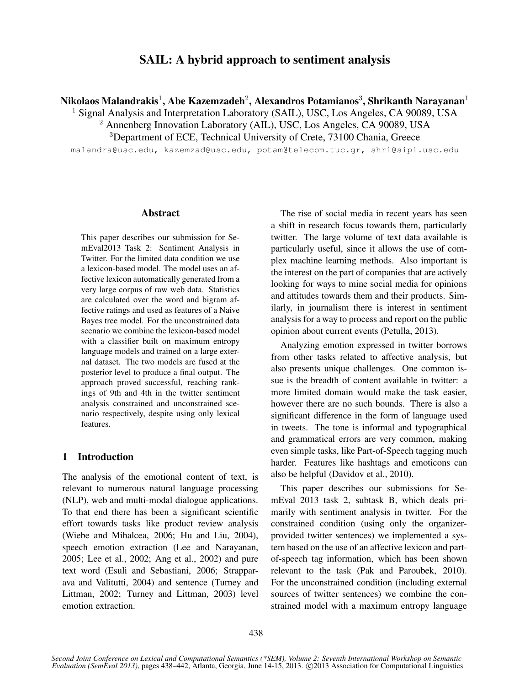# SAIL: A hybrid approach to sentiment analysis

Nikolaos Malandrakis $^1$ , Abe Kazemzadeh $^2$ , Alexandros Potamianos $^3$ , Shrikanth Narayanan $^1$ 

<sup>1</sup> Signal Analysis and Interpretation Laboratory (SAIL), USC, Los Angeles, CA 90089, USA

<sup>2</sup> Annenberg Innovation Laboratory (AIL), USC, Los Angeles, CA 90089, USA

<sup>3</sup>Department of ECE, Technical University of Crete, 73100 Chania, Greece

malandra@usc.edu, kazemzad@usc.edu, potam@telecom.tuc.gr, shri@sipi.usc.edu

### Abstract

This paper describes our submission for SemEval2013 Task 2: Sentiment Analysis in Twitter. For the limited data condition we use a lexicon-based model. The model uses an affective lexicon automatically generated from a very large corpus of raw web data. Statistics are calculated over the word and bigram affective ratings and used as features of a Naive Bayes tree model. For the unconstrained data scenario we combine the lexicon-based model with a classifier built on maximum entropy language models and trained on a large external dataset. The two models are fused at the posterior level to produce a final output. The approach proved successful, reaching rankings of 9th and 4th in the twitter sentiment analysis constrained and unconstrained scenario respectively, despite using only lexical features.

## 1 Introduction

The analysis of the emotional content of text, is relevant to numerous natural language processing (NLP), web and multi-modal dialogue applications. To that end there has been a significant scientific effort towards tasks like product review analysis (Wiebe and Mihalcea, 2006; Hu and Liu, 2004), speech emotion extraction (Lee and Narayanan, 2005; Lee et al., 2002; Ang et al., 2002) and pure text word (Esuli and Sebastiani, 2006; Strapparava and Valitutti, 2004) and sentence (Turney and Littman, 2002; Turney and Littman, 2003) level emotion extraction.

The rise of social media in recent years has seen a shift in research focus towards them, particularly twitter. The large volume of text data available is particularly useful, since it allows the use of complex machine learning methods. Also important is the interest on the part of companies that are actively looking for ways to mine social media for opinions and attitudes towards them and their products. Similarly, in journalism there is interest in sentiment analysis for a way to process and report on the public opinion about current events (Petulla, 2013).

Analyzing emotion expressed in twitter borrows from other tasks related to affective analysis, but also presents unique challenges. One common issue is the breadth of content available in twitter: a more limited domain would make the task easier, however there are no such bounds. There is also a significant difference in the form of language used in tweets. The tone is informal and typographical and grammatical errors are very common, making even simple tasks, like Part-of-Speech tagging much harder. Features like hashtags and emoticons can also be helpful (Davidov et al., 2010).

This paper describes our submissions for SemEval 2013 task 2, subtask B, which deals primarily with sentiment analysis in twitter. For the constrained condition (using only the organizerprovided twitter sentences) we implemented a system based on the use of an affective lexicon and partof-speech tag information, which has been shown relevant to the task (Pak and Paroubek, 2010). For the unconstrained condition (including external sources of twitter sentences) we combine the constrained model with a maximum entropy language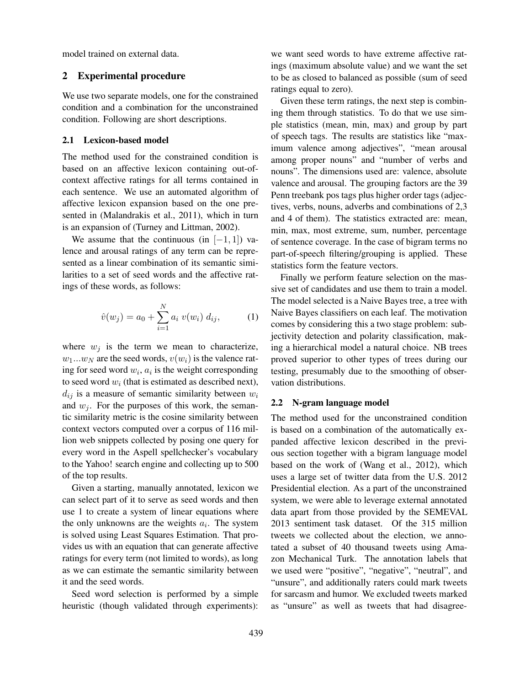model trained on external data.

## 2 Experimental procedure

We use two separate models, one for the constrained condition and a combination for the unconstrained condition. Following are short descriptions.

### 2.1 Lexicon-based model

The method used for the constrained condition is based on an affective lexicon containing out-ofcontext affective ratings for all terms contained in each sentence. We use an automated algorithm of affective lexicon expansion based on the one presented in (Malandrakis et al., 2011), which in turn is an expansion of (Turney and Littman, 2002).

We assume that the continuous (in  $[-1, 1]$ ) valence and arousal ratings of any term can be represented as a linear combination of its semantic similarities to a set of seed words and the affective ratings of these words, as follows:

$$
\hat{v}(w_j) = a_0 + \sum_{i=1}^{N} a_i \ v(w_i) \ d_{ij}, \tag{1}
$$

where  $w_j$  is the term we mean to characterize,  $w_1...w_N$  are the seed words,  $v(w_i)$  is the valence rating for seed word  $w_i$ ,  $a_i$  is the weight corresponding to seed word  $w_i$  (that is estimated as described next),  $d_{ij}$  is a measure of semantic similarity between  $w_i$ and  $w_i$ . For the purposes of this work, the semantic similarity metric is the cosine similarity between context vectors computed over a corpus of 116 million web snippets collected by posing one query for every word in the Aspell spellchecker's vocabulary to the Yahoo! search engine and collecting up to 500 of the top results.

Given a starting, manually annotated, lexicon we can select part of it to serve as seed words and then use 1 to create a system of linear equations where the only unknowns are the weights  $a_i$ . The system is solved using Least Squares Estimation. That provides us with an equation that can generate affective ratings for every term (not limited to words), as long as we can estimate the semantic similarity between it and the seed words.

Seed word selection is performed by a simple heuristic (though validated through experiments):

we want seed words to have extreme affective ratings (maximum absolute value) and we want the set to be as closed to balanced as possible (sum of seed ratings equal to zero).

Given these term ratings, the next step is combining them through statistics. To do that we use simple statistics (mean, min, max) and group by part of speech tags. The results are statistics like "maximum valence among adjectives", "mean arousal among proper nouns" and "number of verbs and nouns". The dimensions used are: valence, absolute valence and arousal. The grouping factors are the 39 Penn treebank pos tags plus higher order tags (adjectives, verbs, nouns, adverbs and combinations of 2,3 and 4 of them). The statistics extracted are: mean, min, max, most extreme, sum, number, percentage of sentence coverage. In the case of bigram terms no part-of-speech filtering/grouping is applied. These statistics form the feature vectors.

Finally we perform feature selection on the massive set of candidates and use them to train a model. The model selected is a Naive Bayes tree, a tree with Naive Bayes classifiers on each leaf. The motivation comes by considering this a two stage problem: subjectivity detection and polarity classification, making a hierarchical model a natural choice. NB trees proved superior to other types of trees during our testing, presumably due to the smoothing of observation distributions.

#### 2.2 N-gram language model

The method used for the unconstrained condition is based on a combination of the automatically expanded affective lexicon described in the previous section together with a bigram language model based on the work of (Wang et al., 2012), which uses a large set of twitter data from the U.S. 2012 Presidential election. As a part of the unconstrained system, we were able to leverage external annotated data apart from those provided by the SEMEVAL 2013 sentiment task dataset. Of the 315 million tweets we collected about the election, we annotated a subset of 40 thousand tweets using Amazon Mechanical Turk. The annotation labels that we used were "positive", "negative", "neutral", and "unsure", and additionally raters could mark tweets for sarcasm and humor. We excluded tweets marked as "unsure" as well as tweets that had disagree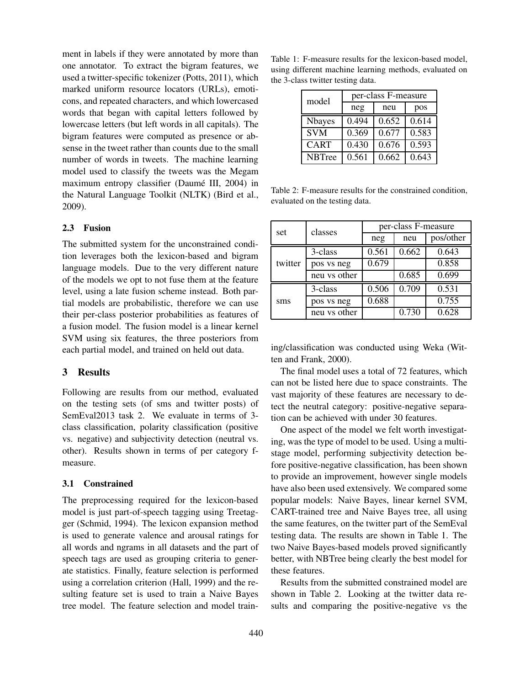ment in labels if they were annotated by more than one annotator. To extract the bigram features, we used a twitter-specific tokenizer (Potts, 2011), which marked uniform resource locators (URLs), emoticons, and repeated characters, and which lowercased words that began with capital letters followed by lowercase letters (but left words in all capitals). The bigram features were computed as presence or absense in the tweet rather than counts due to the small number of words in tweets. The machine learning model used to classify the tweets was the Megam maximum entropy classifier (Daumé III, 2004) in the Natural Language Toolkit (NLTK) (Bird et al., 2009).

### 2.3 Fusion

The submitted system for the unconstrained condition leverages both the lexicon-based and bigram language models. Due to the very different nature of the models we opt to not fuse them at the feature level, using a late fusion scheme instead. Both partial models are probabilistic, therefore we can use their per-class posterior probabilities as features of a fusion model. The fusion model is a linear kernel SVM using six features, the three posteriors from each partial model, and trained on held out data.

#### 3 Results

Following are results from our method, evaluated on the testing sets (of sms and twitter posts) of SemEval2013 task 2. We evaluate in terms of 3 class classification, polarity classification (positive vs. negative) and subjectivity detection (neutral vs. other). Results shown in terms of per category fmeasure.

#### 3.1 Constrained

The preprocessing required for the lexicon-based model is just part-of-speech tagging using Treetagger (Schmid, 1994). The lexicon expansion method is used to generate valence and arousal ratings for all words and ngrams in all datasets and the part of speech tags are used as grouping criteria to generate statistics. Finally, feature selection is performed using a correlation criterion (Hall, 1999) and the resulting feature set is used to train a Naive Bayes tree model. The feature selection and model train-

Table 1: F-measure results for the lexicon-based model, using different machine learning methods, evaluated on the 3-class twitter testing data.

| model         | per-class F-measure |       |       |  |
|---------------|---------------------|-------|-------|--|
|               | neg                 | neu   | pos   |  |
| <b>Nbayes</b> | 0.494               | 0.652 | 0.614 |  |
| <b>SVM</b>    | 0.369               | 0.677 | 0.583 |  |
| <b>CART</b>   | 0.430               | 0.676 | 0.593 |  |
| <b>NBTree</b> | 0.561               | 0.662 | 0.643 |  |

Table 2: F-measure results for the constrained condition, evaluated on the testing data.

| set     | classes      | per-class F-measure |       |           |
|---------|--------------|---------------------|-------|-----------|
|         |              | neg                 | neu   | pos/other |
| twitter | 3-class      | 0.561               | 0.662 | 0.643     |
|         | pos vs neg   | 0.679               |       | 0.858     |
|         | neu vs other |                     | 0.685 | 0.699     |
| sms     | 3-class      | 0.506               | 0.709 | 0.531     |
|         | pos vs neg   | 0.688               |       | 0.755     |
|         | neu vs other |                     | 0.730 | 0.628     |

ing/classification was conducted using Weka (Witten and Frank, 2000).

The final model uses a total of 72 features, which can not be listed here due to space constraints. The vast majority of these features are necessary to detect the neutral category: positive-negative separation can be achieved with under 30 features.

One aspect of the model we felt worth investigating, was the type of model to be used. Using a multistage model, performing subjectivity detection before positive-negative classification, has been shown to provide an improvement, however single models have also been used extensively. We compared some popular models: Naive Bayes, linear kernel SVM, CART-trained tree and Naive Bayes tree, all using the same features, on the twitter part of the SemEval testing data. The results are shown in Table 1. The two Naive Bayes-based models proved significantly better, with NBTree being clearly the best model for these features.

Results from the submitted constrained model are shown in Table 2. Looking at the twitter data results and comparing the positive-negative vs the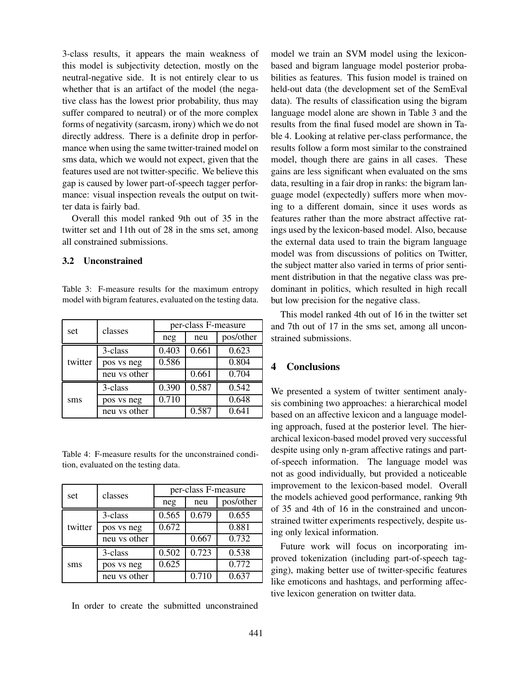3-class results, it appears the main weakness of this model is subjectivity detection, mostly on the neutral-negative side. It is not entirely clear to us whether that is an artifact of the model (the negative class has the lowest prior probability, thus may suffer compared to neutral) or of the more complex forms of negativity (sarcasm, irony) which we do not directly address. There is a definite drop in performance when using the same twitter-trained model on sms data, which we would not expect, given that the features used are not twitter-specific. We believe this gap is caused by lower part-of-speech tagger performance: visual inspection reveals the output on twitter data is fairly bad.

Overall this model ranked 9th out of 35 in the twitter set and 11th out of 28 in the sms set, among all constrained submissions.

#### 3.2 Unconstrained

Table 3: F-measure results for the maximum entropy model with bigram features, evaluated on the testing data.

| set     | classes      | per-class F-measure |       |           |
|---------|--------------|---------------------|-------|-----------|
|         |              | neg                 | neu   | pos/other |
| twitter | 3-class      | 0.403               | 0.661 | 0.623     |
|         | pos vs neg   | 0.586               |       | 0.804     |
|         | neu vs other |                     | 0.661 | 0.704     |
| sms     | 3-class      | 0.390               | 0.587 | 0.542     |
|         | pos vs neg   | 0.710               |       | 0.648     |
|         | neu vs other |                     | 0.587 | 0.641     |

Table 4: F-measure results for the unconstrained condition, evaluated on the testing data.

| set     | classes      | per-class F-measure |       |           |
|---------|--------------|---------------------|-------|-----------|
|         |              | neg                 | neu   | pos/other |
| twitter | 3-class      | 0.565               | 0.679 | 0.655     |
|         | pos vs neg   | 0.672               |       | 0.881     |
|         | neu vs other |                     | 0.667 | 0.732     |
| sms     | 3-class      | 0.502               | 0.723 | 0.538     |
|         | pos vs neg   | 0.625               |       | 0.772     |
|         | neu vs other |                     | 0.710 | 0.637     |

In order to create the submitted unconstrained

model we train an SVM model using the lexiconbased and bigram language model posterior probabilities as features. This fusion model is trained on held-out data (the development set of the SemEval data). The results of classification using the bigram language model alone are shown in Table 3 and the results from the final fused model are shown in Table 4. Looking at relative per-class performance, the results follow a form most similar to the constrained model, though there are gains in all cases. These gains are less significant when evaluated on the sms data, resulting in a fair drop in ranks: the bigram language model (expectedly) suffers more when moving to a different domain, since it uses words as features rather than the more abstract affective ratings used by the lexicon-based model. Also, because the external data used to train the bigram language model was from discussions of politics on Twitter, the subject matter also varied in terms of prior sentiment distribution in that the negative class was predominant in politics, which resulted in high recall but low precision for the negative class.

This model ranked 4th out of 16 in the twitter set and 7th out of 17 in the sms set, among all unconstrained submissions.

## **Conclusions**

We presented a system of twitter sentiment analysis combining two approaches: a hierarchical model based on an affective lexicon and a language modeling approach, fused at the posterior level. The hierarchical lexicon-based model proved very successful despite using only n-gram affective ratings and partof-speech information. The language model was not as good individually, but provided a noticeable improvement to the lexicon-based model. Overall the models achieved good performance, ranking 9th of 35 and 4th of 16 in the constrained and unconstrained twitter experiments respectively, despite using only lexical information.

Future work will focus on incorporating improved tokenization (including part-of-speech tagging), making better use of twitter-specific features like emoticons and hashtags, and performing affective lexicon generation on twitter data.